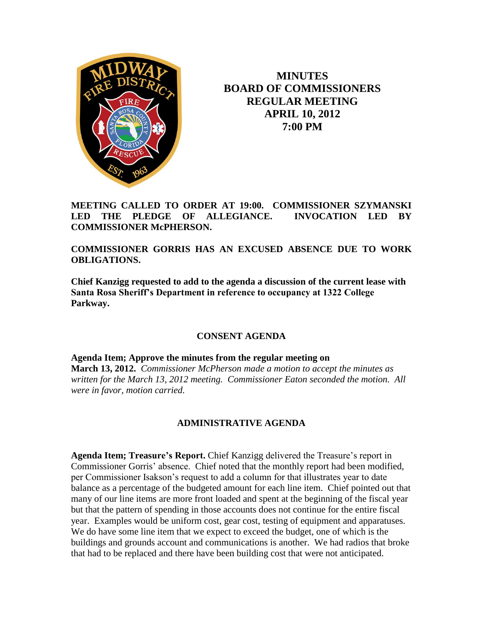

**MINUTES BOARD OF COMMISSIONERS REGULAR MEETING APRIL 10, 2012 7:00 PM**

**MEETING CALLED TO ORDER AT 19:00. COMMISSIONER SZYMANSKI LED THE PLEDGE OF ALLEGIANCE. INVOCATION LED BY COMMISSIONER McPHERSON.**

**COMMISSIONER GORRIS HAS AN EXCUSED ABSENCE DUE TO WORK OBLIGATIONS.**

**Chief Kanzigg requested to add to the agenda a discussion of the current lease with Santa Rosa Sheriff's Department in reference to occupancy at 1322 College Parkway.**

## **CONSENT AGENDA**

**Agenda Item; Approve the minutes from the regular meeting on March 13, 2012.** *Commissioner McPherson made a motion to accept the minutes as written for the March 13, 2012 meeting. Commissioner Eaton seconded the motion. All were in favor, motion carried.*

## **ADMINISTRATIVE AGENDA**

**Agenda Item; Treasure's Report.** Chief Kanzigg delivered the Treasure's report in Commissioner Gorris' absence. Chief noted that the monthly report had been modified, per Commissioner Isakson's request to add a column for that illustrates year to date balance as a percentage of the budgeted amount for each line item. Chief pointed out that many of our line items are more front loaded and spent at the beginning of the fiscal year but that the pattern of spending in those accounts does not continue for the entire fiscal year. Examples would be uniform cost, gear cost, testing of equipment and apparatuses. We do have some line item that we expect to exceed the budget, one of which is the buildings and grounds account and communications is another. We had radios that broke that had to be replaced and there have been building cost that were not anticipated.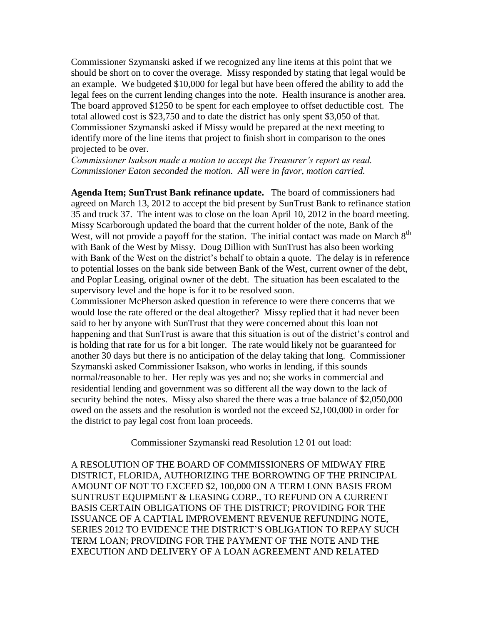Commissioner Szymanski asked if we recognized any line items at this point that we should be short on to cover the overage. Missy responded by stating that legal would be an example. We budgeted \$10,000 for legal but have been offered the ability to add the legal fees on the current lending changes into the note. Health insurance is another area. The board approved \$1250 to be spent for each employee to offset deductible cost. The total allowed cost is \$23,750 and to date the district has only spent \$3,050 of that. Commissioner Szymanski asked if Missy would be prepared at the next meeting to identify more of the line items that project to finish short in comparison to the ones projected to be over.

*Commissioner Isakson made a motion to accept the Treasurer's report as read. Commissioner Eaton seconded the motion. All were in favor, motion carried.*

**Agenda Item; SunTrust Bank refinance update.** The board of commissioners had agreed on March 13, 2012 to accept the bid present by SunTrust Bank to refinance station 35 and truck 37. The intent was to close on the loan April 10, 2012 in the board meeting. Missy Scarborough updated the board that the current holder of the note, Bank of the West, will not provide a payoff for the station. The initial contact was made on March  $8<sup>th</sup>$ with Bank of the West by Missy. Doug Dillion with SunTrust has also been working with Bank of the West on the district's behalf to obtain a quote. The delay is in reference to potential losses on the bank side between Bank of the West, current owner of the debt, and Poplar Leasing, original owner of the debt. The situation has been escalated to the supervisory level and the hope is for it to be resolved soon.

Commissioner McPherson asked question in reference to were there concerns that we would lose the rate offered or the deal altogether? Missy replied that it had never been said to her by anyone with SunTrust that they were concerned about this loan not happening and that SunTrust is aware that this situation is out of the district's control and is holding that rate for us for a bit longer. The rate would likely not be guaranteed for another 30 days but there is no anticipation of the delay taking that long. Commissioner Szymanski asked Commissioner Isakson, who works in lending, if this sounds normal/reasonable to her. Her reply was yes and no; she works in commercial and residential lending and government was so different all the way down to the lack of security behind the notes. Missy also shared the there was a true balance of \$2,050,000 owed on the assets and the resolution is worded not the exceed \$2,100,000 in order for the district to pay legal cost from loan proceeds.

Commissioner Szymanski read Resolution 12 01 out load:

A RESOLUTION OF THE BOARD OF COMMISSIONERS OF MIDWAY FIRE DISTRICT, FLORIDA, AUTHORIZING THE BORROWING OF THE PRINCIPAL AMOUNT OF NOT TO EXCEED \$2, 100,000 ON A TERM LONN BASIS FROM SUNTRUST EQUIPMENT & LEASING CORP., TO REFUND ON A CURRENT BASIS CERTAIN OBLIGATIONS OF THE DISTRICT; PROVIDING FOR THE ISSUANCE OF A CAPTIAL IMPROVEMENT REVENUE REFUNDING NOTE, SERIES 2012 TO EVIDENCE THE DISTRICT'S OBLIGATION TO REPAY SUCH TERM LOAN; PROVIDING FOR THE PAYMENT OF THE NOTE AND THE EXECUTION AND DELIVERY OF A LOAN AGREEMENT AND RELATED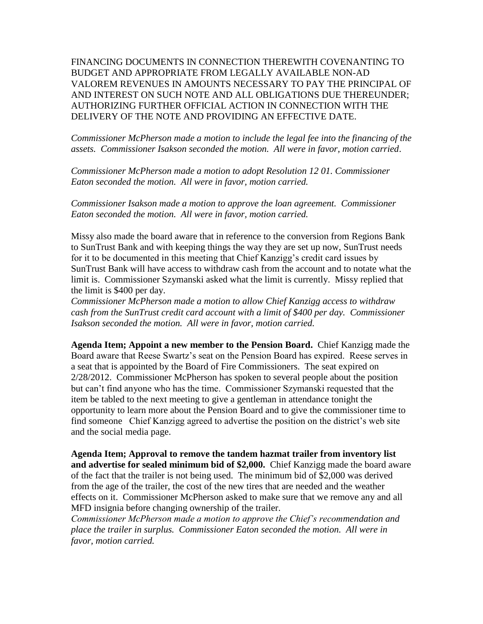FINANCING DOCUMENTS IN CONNECTION THEREWITH COVENANTING TO BUDGET AND APPROPRIATE FROM LEGALLY AVAILABLE NON-AD VALOREM REVENUES IN AMOUNTS NECESSARY TO PAY THE PRINCIPAL OF AND INTEREST ON SUCH NOTE AND ALL OBLIGATIONS DUE THEREUNDER; AUTHORIZING FURTHER OFFICIAL ACTION IN CONNECTION WITH THE DELIVERY OF THE NOTE AND PROVIDING AN EFFECTIVE DATE.

*Commissioner McPherson made a motion to include the legal fee into the financing of the assets. Commissioner Isakson seconded the motion. All were in favor, motion carried*.

*Commissioner McPherson made a motion to adopt Resolution 12 01. Commissioner Eaton seconded the motion. All were in favor, motion carried.* 

*Commissioner Isakson made a motion to approve the loan agreement. Commissioner Eaton seconded the motion. All were in favor, motion carried.*

Missy also made the board aware that in reference to the conversion from Regions Bank to SunTrust Bank and with keeping things the way they are set up now, SunTrust needs for it to be documented in this meeting that Chief Kanzigg's credit card issues by SunTrust Bank will have access to withdraw cash from the account and to notate what the limit is. Commissioner Szymanski asked what the limit is currently. Missy replied that the limit is \$400 per day.

*Commissioner McPherson made a motion to allow Chief Kanzigg access to withdraw cash from the SunTrust credit card account with a limit of \$400 per day. Commissioner Isakson seconded the motion. All were in favor, motion carried.*

**Agenda Item; Appoint a new member to the Pension Board.** Chief Kanzigg made the Board aware that Reese Swartz's seat on the Pension Board has expired. Reese serves in a seat that is appointed by the Board of Fire Commissioners. The seat expired on 2/28/2012. Commissioner McPherson has spoken to several people about the position but can't find anyone who has the time. Commissioner Szymanski requested that the item be tabled to the next meeting to give a gentleman in attendance tonight the opportunity to learn more about the Pension Board and to give the commissioner time to find someone Chief Kanzigg agreed to advertise the position on the district's web site and the social media page.

**Agenda Item; Approval to remove the tandem hazmat trailer from inventory list and advertise for sealed minimum bid of \$2,000.** Chief Kanzigg made the board aware of the fact that the trailer is not being used. The minimum bid of \$2,000 was derived from the age of the trailer, the cost of the new tires that are needed and the weather effects on it. Commissioner McPherson asked to make sure that we remove any and all MFD insignia before changing ownership of the trailer.

*Commissioner McPherson made a motion to approve the Chief's recommendation and place the trailer in surplus. Commissioner Eaton seconded the motion. All were in favor, motion carried.*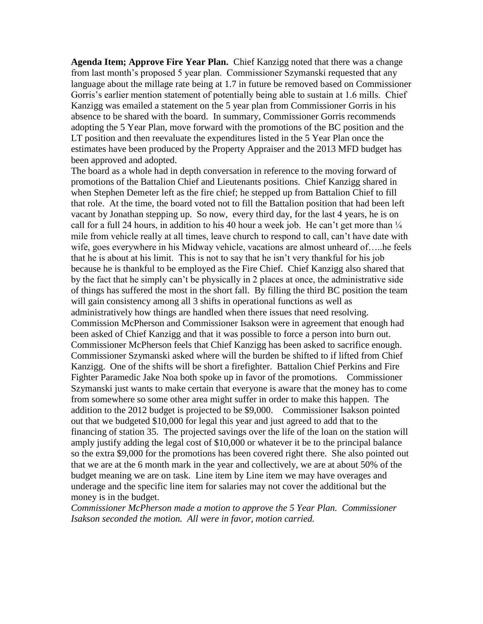**Agenda Item; Approve Fire Year Plan.** Chief Kanzigg noted that there was a change from last month's proposed 5 year plan. Commissioner Szymanski requested that any language about the millage rate being at 1.7 in future be removed based on Commissioner Gorris's earlier mention statement of potentially being able to sustain at 1.6 mills. Chief Kanzigg was emailed a statement on the 5 year plan from Commissioner Gorris in his absence to be shared with the board. In summary, Commissioner Gorris recommends adopting the 5 Year Plan, move forward with the promotions of the BC position and the LT position and then reevaluate the expenditures listed in the 5 Year Plan once the estimates have been produced by the Property Appraiser and the 2013 MFD budget has been approved and adopted.

The board as a whole had in depth conversation in reference to the moving forward of promotions of the Battalion Chief and Lieutenants positions. Chief Kanzigg shared in when Stephen Demeter left as the fire chief; he stepped up from Battalion Chief to fill that role. At the time, the board voted not to fill the Battalion position that had been left vacant by Jonathan stepping up. So now, every third day, for the last 4 years, he is on call for a full 24 hours, in addition to his 40 hour a week job. He can't get more than  $\frac{1}{4}$ mile from vehicle really at all times, leave church to respond to call, can't have date with wife, goes everywhere in his Midway vehicle, vacations are almost unheard of.... he feels that he is about at his limit. This is not to say that he isn't very thankful for his job because he is thankful to be employed as the Fire Chief. Chief Kanzigg also shared that by the fact that he simply can't be physically in 2 places at once, the administrative side of things has suffered the most in the short fall. By filling the third BC position the team will gain consistency among all 3 shifts in operational functions as well as administratively how things are handled when there issues that need resolving. Commission McPherson and Commissioner Isakson were in agreement that enough had been asked of Chief Kanzigg and that it was possible to force a person into burn out. Commissioner McPherson feels that Chief Kanzigg has been asked to sacrifice enough. Commissioner Szymanski asked where will the burden be shifted to if lifted from Chief Kanzigg. One of the shifts will be short a firefighter. Battalion Chief Perkins and Fire Fighter Paramedic Jake Noa both spoke up in favor of the promotions. Commissioner Szymanski just wants to make certain that everyone is aware that the money has to come from somewhere so some other area might suffer in order to make this happen. The addition to the 2012 budget is projected to be \$9,000. Commissioner Isakson pointed out that we budgeted \$10,000 for legal this year and just agreed to add that to the financing of station 35. The projected savings over the life of the loan on the station will amply justify adding the legal cost of \$10,000 or whatever it be to the principal balance so the extra \$9,000 for the promotions has been covered right there. She also pointed out that we are at the 6 month mark in the year and collectively, we are at about 50% of the budget meaning we are on task. Line item by Line item we may have overages and underage and the specific line item for salaries may not cover the additional but the money is in the budget.

*Commissioner McPherson made a motion to approve the 5 Year Plan. Commissioner Isakson seconded the motion. All were in favor, motion carried.*